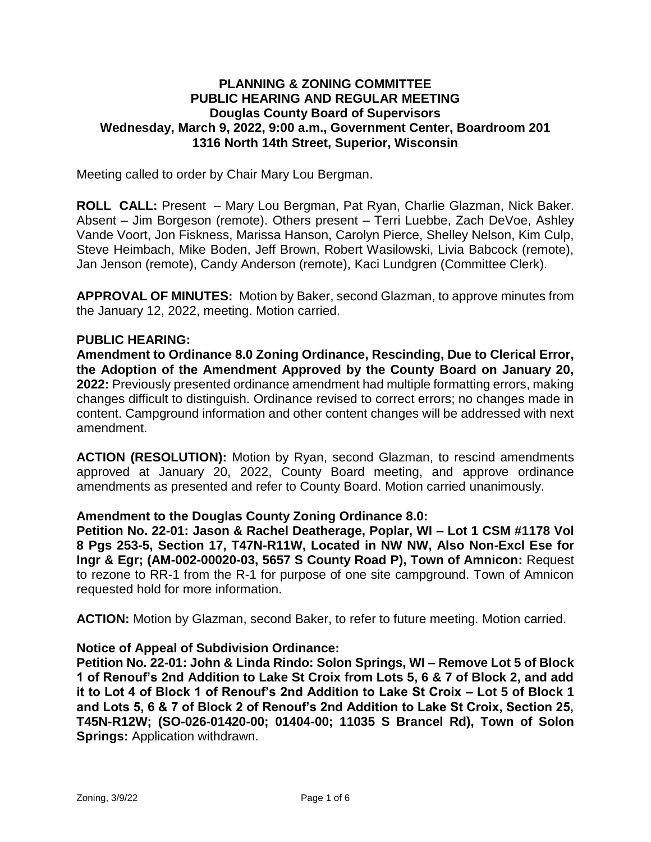# **PLANNING & ZONING COMMITTEE PUBLIC HEARING AND REGULAR MEETING Douglas County Board of Supervisors Wednesday, March 9, 2022, 9:00 a.m., Government Center, Boardroom 201 1316 North 14th Street, Superior, Wisconsin**

Meeting called to order by Chair Mary Lou Bergman.

**ROLL CALL:** Present – Mary Lou Bergman, Pat Ryan, Charlie Glazman, Nick Baker. Absent – Jim Borgeson (remote). Others present – Terri Luebbe, Zach DeVoe, Ashley Vande Voort, Jon Fiskness, Marissa Hanson, Carolyn Pierce, Shelley Nelson, Kim Culp, Steve Heimbach, Mike Boden, Jeff Brown, Robert Wasilowski, Livia Babcock (remote), Jan Jenson (remote), Candy Anderson (remote), Kaci Lundgren (Committee Clerk).

**APPROVAL OF MINUTES:** Motion by Baker, second Glazman, to approve minutes from the January 12, 2022, meeting. Motion carried.

#### **PUBLIC HEARING:**

**Amendment to Ordinance 8.0 Zoning Ordinance, Rescinding, Due to Clerical Error, the Adoption of the Amendment Approved by the County Board on January 20, 2022:** Previously presented ordinance amendment had multiple formatting errors, making changes difficult to distinguish. Ordinance revised to correct errors; no changes made in content. Campground information and other content changes will be addressed with next amendment.

**ACTION (RESOLUTION):** Motion by Ryan, second Glazman, to rescind amendments approved at January 20, 2022, County Board meeting, and approve ordinance amendments as presented and refer to County Board. Motion carried unanimously.

#### **Amendment to the Douglas County Zoning Ordinance 8.0:**

**Petition No. 22-01: Jason & Rachel Deatherage, Poplar, WI – Lot 1 CSM #1178 Vol 8 Pgs 253-5, Section 17, T47N-R11W, Located in NW NW, Also Non-Excl Ese for Ingr & Egr; (AM-002-00020-03, 5657 S County Road P), Town of Amnicon:** Request to rezone to RR-1 from the R-1 for purpose of one site campground. Town of Amnicon requested hold for more information.

**ACTION:** Motion by Glazman, second Baker, to refer to future meeting. Motion carried.

## **Notice of Appeal of Subdivision Ordinance:**

**Petition No. 22-01: John & Linda Rindo: Solon Springs, WI – Remove Lot 5 of Block 1 of Renouf's 2nd Addition to Lake St Croix from Lots 5, 6 & 7 of Block 2, and add it to Lot 4 of Block 1 of Renouf's 2nd Addition to Lake St Croix – Lot 5 of Block 1 and Lots 5, 6 & 7 of Block 2 of Renouf's 2nd Addition to Lake St Croix, Section 25, T45N-R12W; (SO-026-01420-00; 01404-00; 11035 S Brancel Rd), Town of Solon Springs: Application withdrawn.**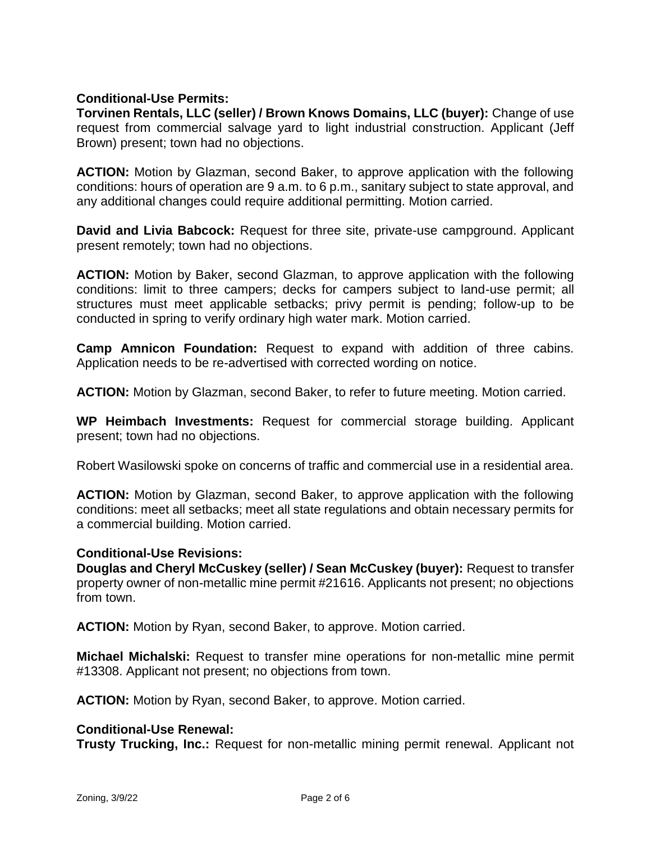# **Conditional-Use Permits:**

**Torvinen Rentals, LLC (seller) / Brown Knows Domains, LLC (buyer):** Change of use request from commercial salvage yard to light industrial construction. Applicant (Jeff Brown) present; town had no objections.

**ACTION:** Motion by Glazman, second Baker, to approve application with the following conditions: hours of operation are 9 a.m. to 6 p.m., sanitary subject to state approval, and any additional changes could require additional permitting. Motion carried.

**David and Livia Babcock:** Request for three site, private-use campground. Applicant present remotely; town had no objections.

**ACTION:** Motion by Baker, second Glazman, to approve application with the following conditions: limit to three campers; decks for campers subject to land-use permit; all structures must meet applicable setbacks; privy permit is pending; follow-up to be conducted in spring to verify ordinary high water mark. Motion carried.

**Camp Amnicon Foundation:** Request to expand with addition of three cabins. Application needs to be re-advertised with corrected wording on notice.

**ACTION:** Motion by Glazman, second Baker, to refer to future meeting. Motion carried.

**WP Heimbach Investments:** Request for commercial storage building. Applicant present; town had no objections.

Robert Wasilowski spoke on concerns of traffic and commercial use in a residential area.

**ACTION:** Motion by Glazman, second Baker, to approve application with the following conditions: meet all setbacks; meet all state regulations and obtain necessary permits for a commercial building. Motion carried.

## **Conditional-Use Revisions:**

**Douglas and Cheryl McCuskey (seller) / Sean McCuskey (buyer):** Request to transfer property owner of non-metallic mine permit #21616. Applicants not present; no objections from town.

**ACTION:** Motion by Ryan, second Baker, to approve. Motion carried.

**Michael Michalski:** Request to transfer mine operations for non-metallic mine permit #13308. Applicant not present; no objections from town.

**ACTION:** Motion by Ryan, second Baker, to approve. Motion carried.

## **Conditional-Use Renewal:**

**Trusty Trucking, Inc.:** Request for non-metallic mining permit renewal. Applicant not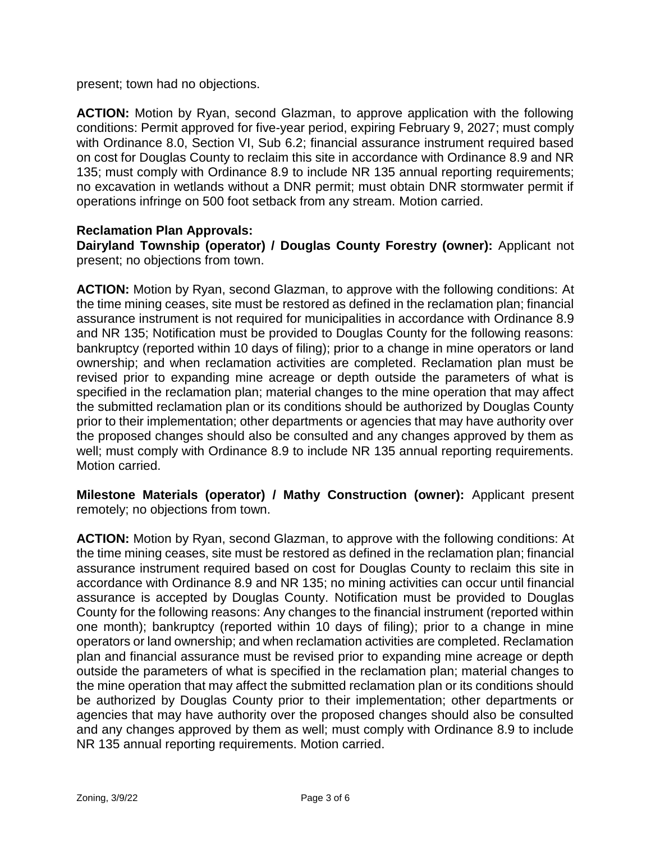present; town had no objections.

**ACTION:** Motion by Ryan, second Glazman, to approve application with the following conditions: Permit approved for five-year period, expiring February 9, 2027; must comply with Ordinance 8.0, Section VI, Sub 6.2; financial assurance instrument required based on cost for Douglas County to reclaim this site in accordance with Ordinance 8.9 and NR 135; must comply with Ordinance 8.9 to include NR 135 annual reporting requirements; no excavation in wetlands without a DNR permit; must obtain DNR stormwater permit if operations infringe on 500 foot setback from any stream. Motion carried.

# **Reclamation Plan Approvals:**

**Dairyland Township (operator) / Douglas County Forestry (owner):** Applicant not present; no objections from town.

**ACTION:** Motion by Ryan, second Glazman, to approve with the following conditions: At the time mining ceases, site must be restored as defined in the reclamation plan; financial assurance instrument is not required for municipalities in accordance with Ordinance 8.9 and NR 135; Notification must be provided to Douglas County for the following reasons: bankruptcy (reported within 10 days of filing); prior to a change in mine operators or land ownership; and when reclamation activities are completed. Reclamation plan must be revised prior to expanding mine acreage or depth outside the parameters of what is specified in the reclamation plan; material changes to the mine operation that may affect the submitted reclamation plan or its conditions should be authorized by Douglas County prior to their implementation; other departments or agencies that may have authority over the proposed changes should also be consulted and any changes approved by them as well; must comply with Ordinance 8.9 to include NR 135 annual reporting requirements. Motion carried.

**Milestone Materials (operator) / Mathy Construction (owner):** Applicant present remotely; no objections from town.

**ACTION:** Motion by Ryan, second Glazman, to approve with the following conditions: At the time mining ceases, site must be restored as defined in the reclamation plan; financial assurance instrument required based on cost for Douglas County to reclaim this site in accordance with Ordinance 8.9 and NR 135; no mining activities can occur until financial assurance is accepted by Douglas County. Notification must be provided to Douglas County for the following reasons: Any changes to the financial instrument (reported within one month); bankruptcy (reported within 10 days of filing); prior to a change in mine operators or land ownership; and when reclamation activities are completed. Reclamation plan and financial assurance must be revised prior to expanding mine acreage or depth outside the parameters of what is specified in the reclamation plan; material changes to the mine operation that may affect the submitted reclamation plan or its conditions should be authorized by Douglas County prior to their implementation; other departments or agencies that may have authority over the proposed changes should also be consulted and any changes approved by them as well; must comply with Ordinance 8.9 to include NR 135 annual reporting requirements. Motion carried.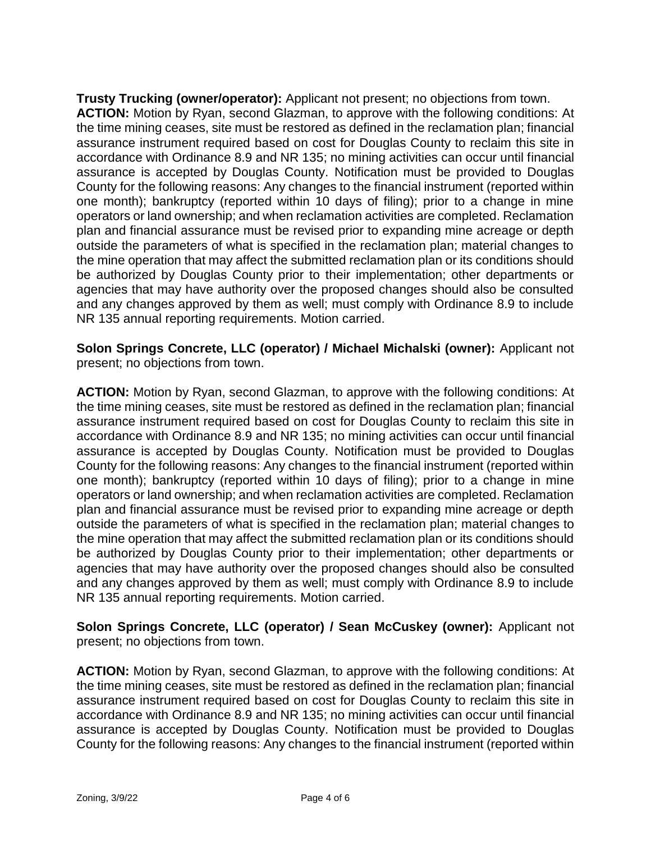**Trusty Trucking (owner/operator):** Applicant not present; no objections from town. **ACTION:** Motion by Ryan, second Glazman, to approve with the following conditions: At the time mining ceases, site must be restored as defined in the reclamation plan; financial assurance instrument required based on cost for Douglas County to reclaim this site in accordance with Ordinance 8.9 and NR 135; no mining activities can occur until financial assurance is accepted by Douglas County. Notification must be provided to Douglas County for the following reasons: Any changes to the financial instrument (reported within one month); bankruptcy (reported within 10 days of filing); prior to a change in mine operators or land ownership; and when reclamation activities are completed. Reclamation plan and financial assurance must be revised prior to expanding mine acreage or depth outside the parameters of what is specified in the reclamation plan; material changes to the mine operation that may affect the submitted reclamation plan or its conditions should be authorized by Douglas County prior to their implementation; other departments or agencies that may have authority over the proposed changes should also be consulted and any changes approved by them as well; must comply with Ordinance 8.9 to include NR 135 annual reporting requirements. Motion carried.

**Solon Springs Concrete, LLC (operator) / Michael Michalski (owner):** Applicant not present; no objections from town.

**ACTION:** Motion by Ryan, second Glazman, to approve with the following conditions: At the time mining ceases, site must be restored as defined in the reclamation plan; financial assurance instrument required based on cost for Douglas County to reclaim this site in accordance with Ordinance 8.9 and NR 135; no mining activities can occur until financial assurance is accepted by Douglas County. Notification must be provided to Douglas County for the following reasons: Any changes to the financial instrument (reported within one month); bankruptcy (reported within 10 days of filing); prior to a change in mine operators or land ownership; and when reclamation activities are completed. Reclamation plan and financial assurance must be revised prior to expanding mine acreage or depth outside the parameters of what is specified in the reclamation plan; material changes to the mine operation that may affect the submitted reclamation plan or its conditions should be authorized by Douglas County prior to their implementation; other departments or agencies that may have authority over the proposed changes should also be consulted and any changes approved by them as well; must comply with Ordinance 8.9 to include NR 135 annual reporting requirements. Motion carried.

**Solon Springs Concrete, LLC (operator) / Sean McCuskey (owner):** Applicant not present; no objections from town.

**ACTION:** Motion by Ryan, second Glazman, to approve with the following conditions: At the time mining ceases, site must be restored as defined in the reclamation plan; financial assurance instrument required based on cost for Douglas County to reclaim this site in accordance with Ordinance 8.9 and NR 135; no mining activities can occur until financial assurance is accepted by Douglas County. Notification must be provided to Douglas County for the following reasons: Any changes to the financial instrument (reported within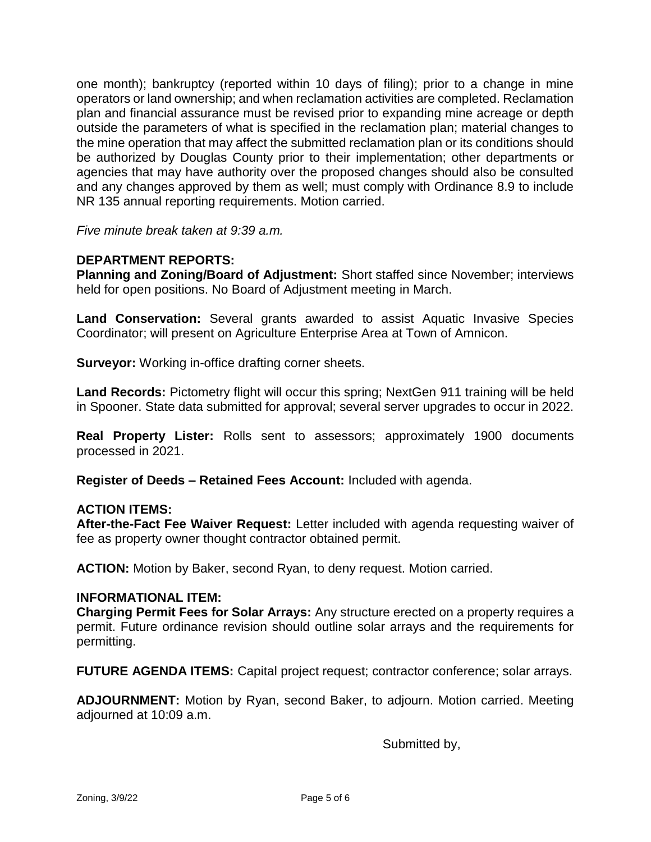one month); bankruptcy (reported within 10 days of filing); prior to a change in mine operators or land ownership; and when reclamation activities are completed. Reclamation plan and financial assurance must be revised prior to expanding mine acreage or depth outside the parameters of what is specified in the reclamation plan; material changes to the mine operation that may affect the submitted reclamation plan or its conditions should be authorized by Douglas County prior to their implementation; other departments or agencies that may have authority over the proposed changes should also be consulted and any changes approved by them as well; must comply with Ordinance 8.9 to include NR 135 annual reporting requirements. Motion carried.

*Five minute break taken at 9:39 a.m.*

# **DEPARTMENT REPORTS:**

**Planning and Zoning/Board of Adjustment:** Short staffed since November; interviews held for open positions. No Board of Adjustment meeting in March.

**Land Conservation:** Several grants awarded to assist Aquatic Invasive Species Coordinator; will present on Agriculture Enterprise Area at Town of Amnicon.

**Surveyor:** Working in-office drafting corner sheets.

**Land Records:** Pictometry flight will occur this spring; NextGen 911 training will be held in Spooner. State data submitted for approval; several server upgrades to occur in 2022.

**Real Property Lister:** Rolls sent to assessors; approximately 1900 documents processed in 2021.

**Register of Deeds – Retained Fees Account:** Included with agenda.

## **ACTION ITEMS:**

**After-the-Fact Fee Waiver Request:** Letter included with agenda requesting waiver of fee as property owner thought contractor obtained permit.

**ACTION:** Motion by Baker, second Ryan, to deny request. Motion carried.

#### **INFORMATIONAL ITEM:**

**Charging Permit Fees for Solar Arrays:** Any structure erected on a property requires a permit. Future ordinance revision should outline solar arrays and the requirements for permitting.

**FUTURE AGENDA ITEMS:** Capital project request; contractor conference; solar arrays.

**ADJOURNMENT:** Motion by Ryan, second Baker, to adjourn. Motion carried. Meeting adjourned at 10:09 a.m.

Submitted by,